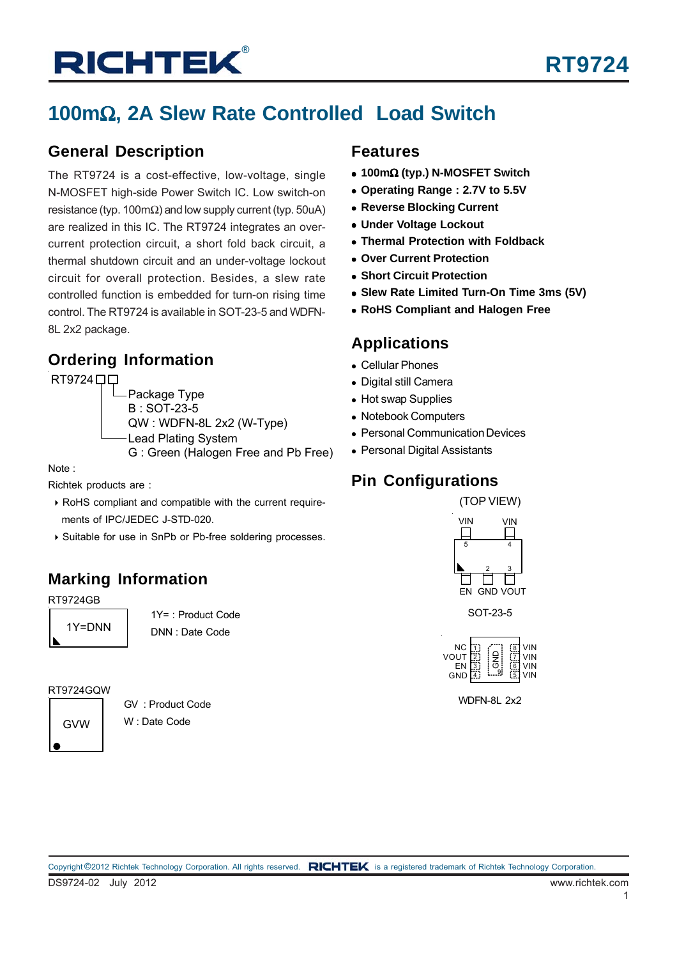## **100m**Ω**, 2A Slew Rate Controlled Load Switch**

#### **General Description**

The RT9724 is a cost-effective, low-voltage, single N-MOSFET high-side Power Switch IC. Low switch-on resistance (typ. 100mΩ) and low supply current (typ. 50uA) are realized in this IC. The RT9724 integrates an overcurrent protection circuit, a short fold back circuit, a thermal shutdown circuit and an under-voltage lockout circuit for overall protection. Besides, a slew rate controlled function is embedded for turn-on rising time control. The RT9724 is available in SOT-23-5 and WDFN-8L 2x2 package.

### **Ordering Information**

RT9724<sup>DD</sup> Package Type

B : SOT-23-5 QW : WDFN-8L 2x2 (W-Type) Lead Plating System

G : Green (Halogen Free and Pb Free)

Note :

Richtek products are :

- ` RoHS compliant and compatible with the current require ments of IPC/JEDEC J-STD-020.
- ` Suitable for use in SnPb or Pb-free soldering processes.

## **Marking Information**

RT9724GB

1Y=DNN

1Y= : Product Code DNN : Date Code

#### RT9724GQW

GVW

GV : Product Code W : Date Code

#### **Features**

- <sup>z</sup> **100m**Ω **(typ.) N-MOSFET Switch**
- Operating Range : 2.7V to 5.5V
- **Reverse Blocking Current**
- **Under Voltage Lockout**
- **Thermal Protection with Foldback**
- <sup>z</sup> **Over Current Protection**
- $\bullet$  **Short Circuit Protection**
- <sup>z</sup> **Slew Rate Limited Turn-On Time 3ms (5V)**
- **RoHS Compliant and Halogen Free**

### **Applications**

- Cellular Phones
- Digital still Camera
- Hot swap Supplies
- Notebook Computers
- Personal Communication Devices
- Personal Digital Assistants

### **Pin Configurations**



SOT-23-5



WDFN-8L 2x2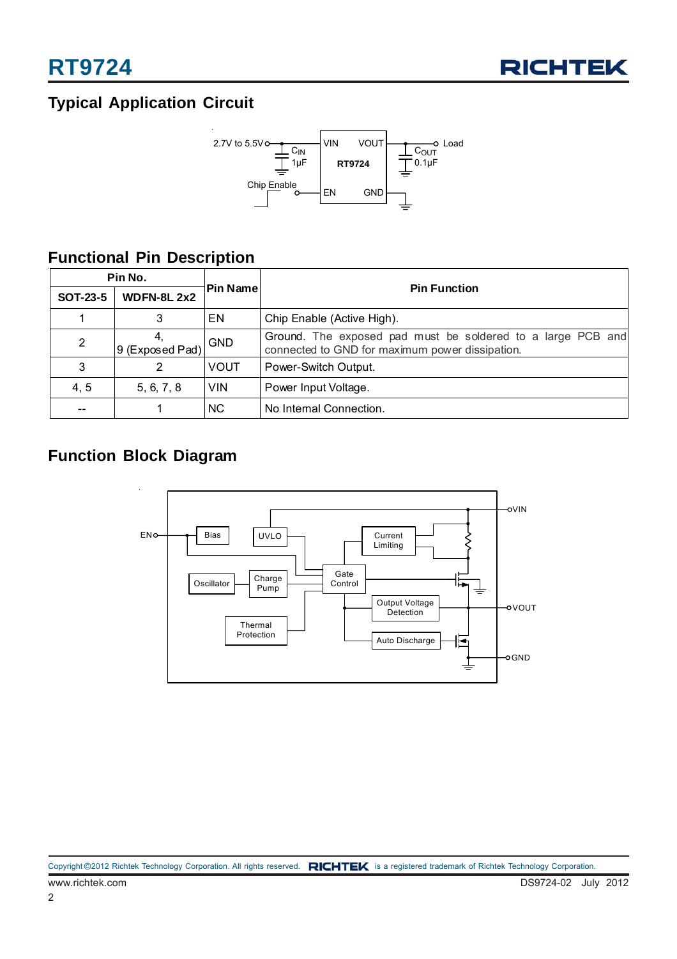

## **Typical Application Circuit**



### **Functional Pin Description**

| Pin No.         |                   |             |                                                                                                                |  |  |  |
|-----------------|-------------------|-------------|----------------------------------------------------------------------------------------------------------------|--|--|--|
| <b>SOT-23-5</b> | <b>WDFN-8L2x2</b> | Pin Name    | <b>Pin Function</b>                                                                                            |  |  |  |
|                 | 3                 | ΕN          | Chip Enable (Active High).                                                                                     |  |  |  |
| $\overline{2}$  | 9 (Exposed Pad)   | <b>GND</b>  | Ground. The exposed pad must be soldered to a large PCB and<br>connected to GND for maximum power dissipation. |  |  |  |
| 3               | 2                 | <b>VOUT</b> | Power-Switch Output.                                                                                           |  |  |  |
| 4, 5            | 5, 6, 7, 8        | <b>VIN</b>  | Power Input Voltage.                                                                                           |  |  |  |
|                 |                   | NC.         | No Internal Connection.                                                                                        |  |  |  |

### **Function Block Diagram**

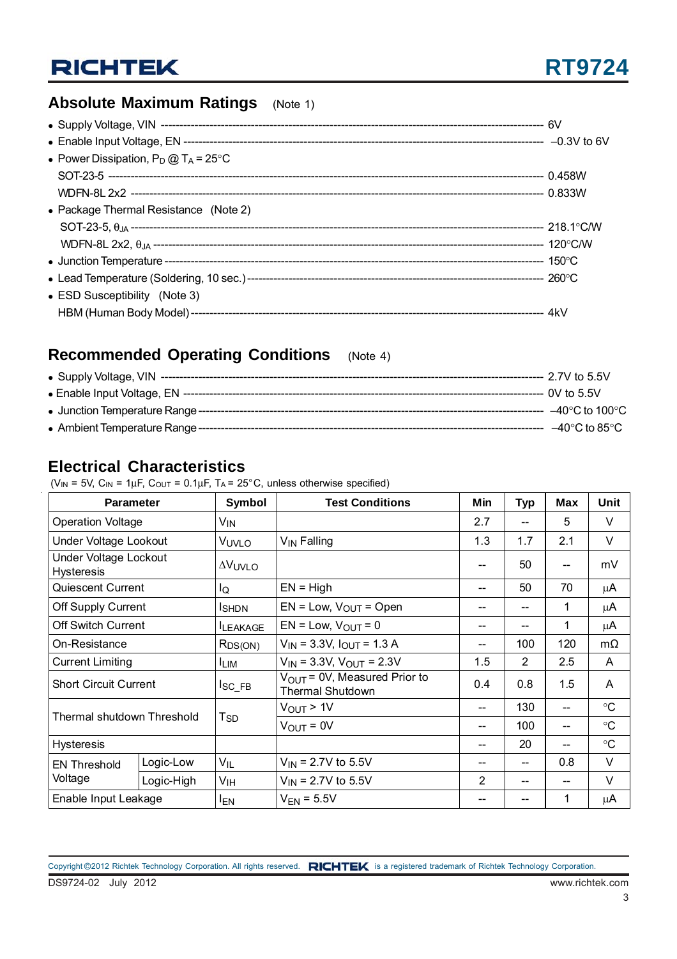### **Absolute Maximum Ratings** (Note 1)

| • Power Dissipation, $P_D @ T_A = 25^{\circ}C$ |  |
|------------------------------------------------|--|
|                                                |  |
|                                                |  |
| • Package Thermal Resistance (Note 2)          |  |
|                                                |  |
|                                                |  |
|                                                |  |
|                                                |  |
| • ESD Susceptibility (Note 3)                  |  |
|                                                |  |

### **Recommended Operating Conditions** (Note 4)

| --  –40°C to 100°C                                               |
|------------------------------------------------------------------|
| $-40^{\circ}$ C to 85 $^{\circ}$ C is a matrix and a set of $\,$ |

### **Electrical Characteristics**

( $V_{IN}$  = 5V,  $C_{IN}$  = 1 $\mu$ F,  $C_{OUT}$  = 0.1 $\mu$ F, T<sub>A</sub> = 25°C, unless otherwise specified)

| <b>Parameter</b>                                  |            | Symbol                | <b>Test Conditions</b>                                              | Min            | <b>Typ</b>     | <b>Max</b> | Unit            |
|---------------------------------------------------|------------|-----------------------|---------------------------------------------------------------------|----------------|----------------|------------|-----------------|
| <b>Operation Voltage</b>                          |            | V <sub>IN</sub>       |                                                                     | 2.7            |                | 5          | $\vee$          |
| Under Voltage Lookout                             |            | VUVLO                 | V <sub>IN</sub> Falling                                             | 1.3            | 1.7            | 2.1        | V               |
| <b>Under Voltage Lockout</b><br><b>Hysteresis</b> |            | <b>AVUVLO</b>         |                                                                     | --             | 50             | --         | mV              |
| Quiescent Current                                 |            | lQ                    | $EN = High$                                                         | --             | 50             | 70         | μA              |
| Off Supply Current                                |            | <b>I</b> SHDN         | $EN = Low, VOUT = Open$                                             | --             |                | 1          | μA              |
| <b>Off Switch Current</b>                         |            | <b>ILEAKAGE</b>       | $EN = Low$ , $V_{OUT} = 0$                                          | --             |                | 1          | μA              |
| On-Resistance                                     |            | $R_{DS(ON)}$          | $V_{IN}$ = 3.3V, $I_{OUT}$ = 1.3 A                                  | --             | 100            | 120        | $m\Omega$       |
| <b>Current Limiting</b>                           |            | <b>LIM</b>            | $V_{IN}$ = 3.3V, $V_{OUT}$ = 2.3V                                   | 1.5            | $\overline{2}$ | 2.5        | A               |
| <b>Short Circuit Current</b>                      |            | $I_{\rm SC\_FB}$      | $V_{\text{OUT}}$ = 0V, Measured Prior to<br><b>Thermal Shutdown</b> | 0.4            | 0.8            | 1.5        | A               |
| Thermal shutdown Threshold                        |            | T <sub>SD</sub>       | $V_{\text{OUT}}$ > 1V                                               | --             | 130            |            | $\rm ^{\circ}C$ |
|                                                   |            |                       | $V_{\text{OUT}} = 0V$                                               | --             | 100            |            | $\rm ^{\circ}C$ |
| <b>Hysteresis</b>                                 |            |                       |                                                                     | --             | 20             | --         | $\rm ^{\circ}C$ |
| <b>EN Threshold</b>                               | Logic-Low  | $V_{IL}$              | $V_{IN}$ = 2.7V to 5.5V                                             | --             |                | 0.8        | V               |
| Voltage                                           | Logic-High | V <sub>IH</sub>       | $V_{IN}$ = 2.7V to 5.5V                                             | $\overline{2}$ |                | --         | V               |
| Enable Input Leakage                              |            | <b>I<sub>EN</sub></b> | $V_{EN}$ = 5.5V                                                     | --             |                | 1          | μA              |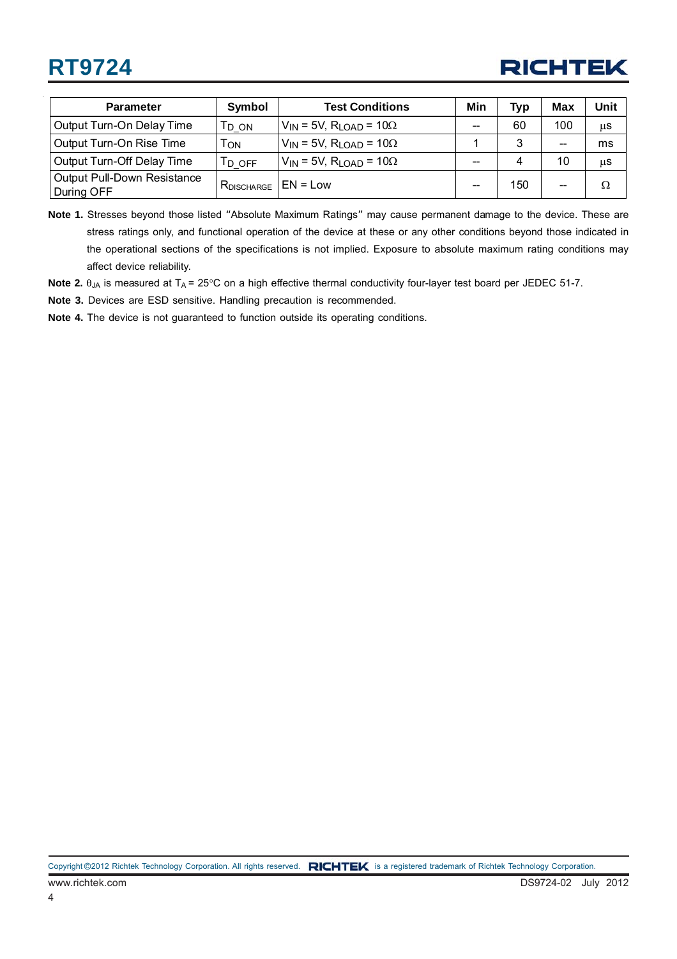## **RT9724**

## **RICHTEK**

| <b>Parameter</b>                                 | Symbol            | <b>Test Conditions</b>                         | Min | <b>Typ</b> | Max                      | Unit |
|--------------------------------------------------|-------------------|------------------------------------------------|-----|------------|--------------------------|------|
| Output Turn-On Delay Time                        | Г <sub>D_ON</sub> | $V_{IN}$ = 5V, R <sub>LOAD</sub> = 10 $\Omega$ | --  | 60         | 100                      | μS   |
| Output Turn-On Rise Time                         | ON                | $V_{IN}$ = 5V, R <sub>LOAD</sub> = 10 $\Omega$ |     | ົ          | $-$                      | ms   |
| Output Turn-Off Delay Time                       | Td off            | $V_{IN}$ = 5V, R <sub>LOAD</sub> = 10 $\Omega$ | --  | 4          | 10                       | μS   |
| <b>Output Pull-Down Resistance</b><br>During OFF | $R_{DISCHARGE}$   | $EN = Low$                                     | --  | 150        | $\overline{\phantom{m}}$ | Ω    |

**Note 1.** Stresses beyond those listed "Absolute Maximum Ratings" may cause permanent damage to the device. These are stress ratings only, and functional operation of the device at these or any other conditions beyond those indicated in the operational sections of the specifications is not implied. Exposure to absolute maximum rating conditions may affect device reliability.

Note 2. θ<sub>JA</sub> is measured at T<sub>A</sub> = 25°C on a high effective thermal conductivity four-layer test board per JEDEC 51-7.

**Note 3.** Devices are ESD sensitive. Handling precaution is recommended.

**Note 4.** The device is not guaranteed to function outside its operating conditions.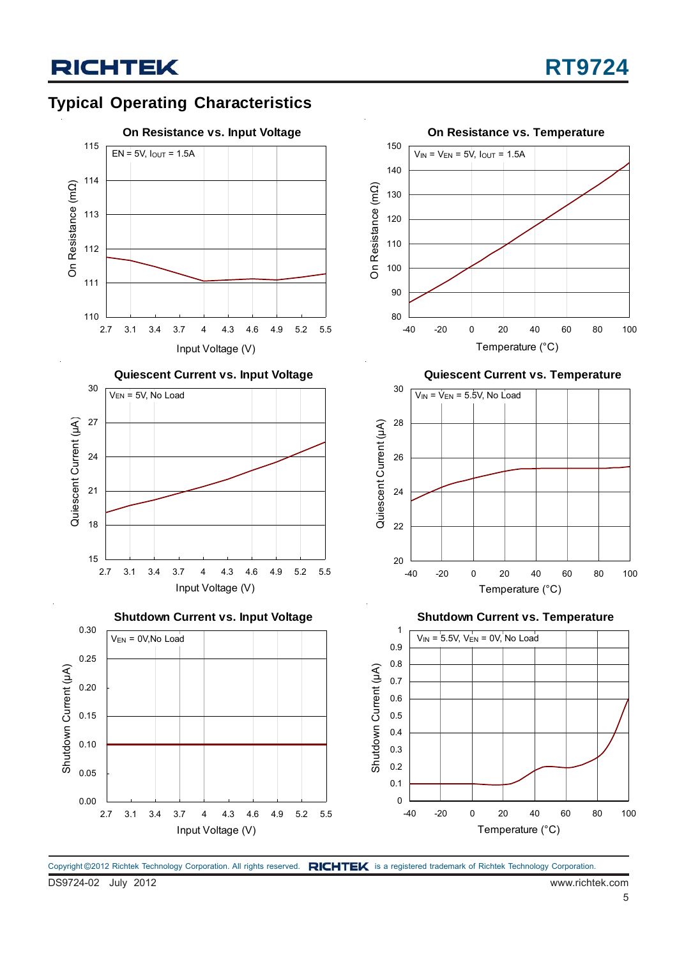## **Typical Operating Characteristics**



Copyright ©2012 Richtek Technology Corporation. All rights reserved. RICHTEK is a registered trademark of Richtek Technology Corporation.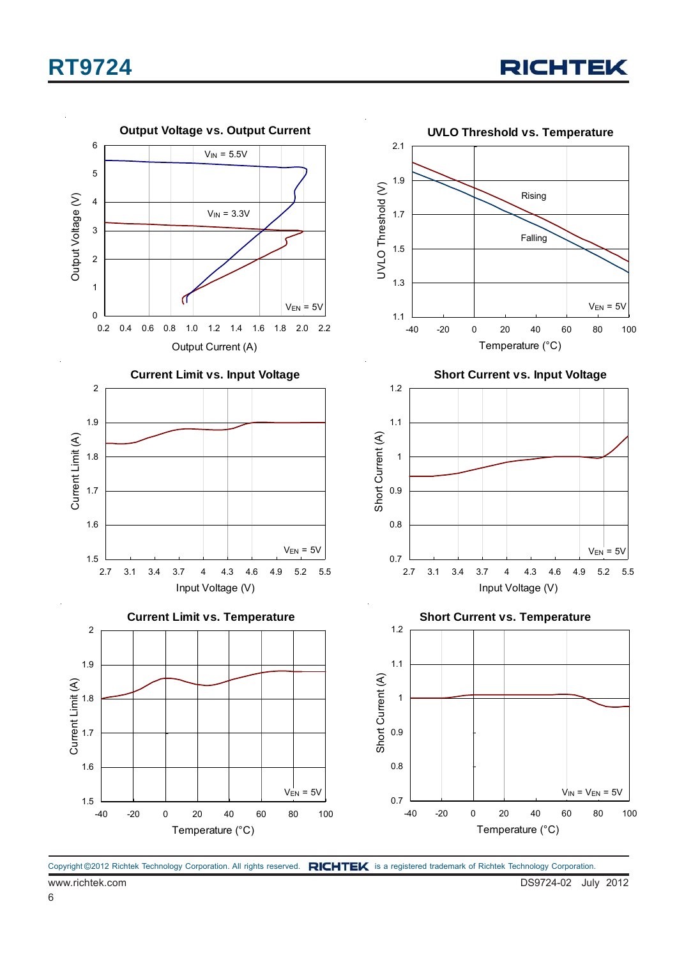## **RT9724**



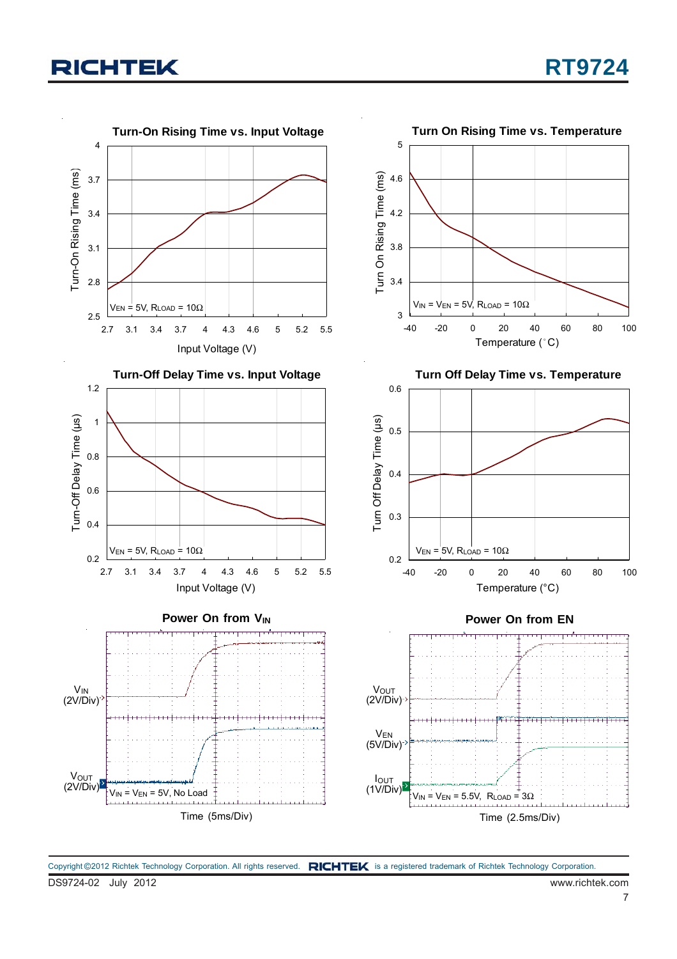

DS9724-02 July 2012 www.richtek.com Copyright ©2012 Richtek Technology Corporation. All rights reserved. RICHTEK is a registered trademark of Richtek Technology Corporation.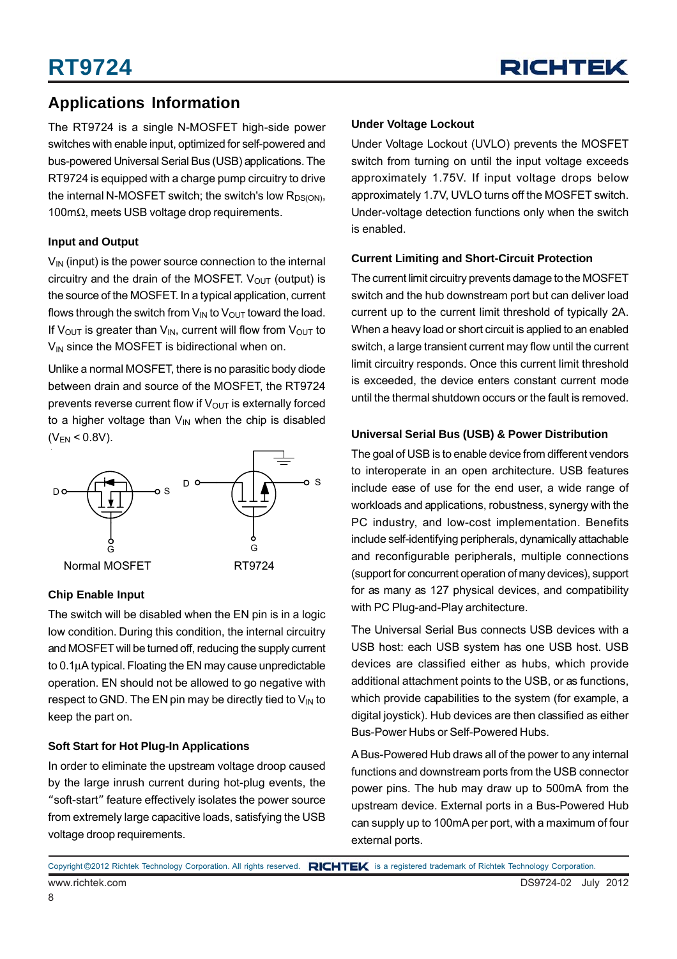### **Applications Information**

The RT9724 is a single N-MOSFET high-side power switches with enable input, optimized for self-powered and bus-powered Universal Serial Bus (USB) applications. The RT9724 is equipped with a charge pump circuitry to drive the internal N-MOSFET switch; the switch's low  $R_{DS(ON)}$ , 100mΩ, meets USB voltage drop requirements.

#### **Input and Output**

 $V_{\text{IN}}$  (input) is the power source connection to the internal circuitry and the drain of the MOSFET.  $V_{OUT}$  (output) is the source of the MOSFET. In a typical application, current flows through the switch from  $V_{IN}$  to  $V_{OUT}$  toward the load. If V<sub>OUT</sub> is greater than V<sub>IN</sub>, current will flow from V<sub>OUT</sub> to  $V_{IN}$  since the MOSFET is bidirectional when on.

Unlike a normal MOSFET, there is no parasitic body diode between drain and source of the MOSFET, the RT9724 prevents reverse current flow if  $V_{\text{OUT}}$  is externally forced to a higher voltage than  $V_{\text{IN}}$  when the chip is disabled  $(V_{EN} < 0.8V)$ .



#### **Chip Enable Input**

The switch will be disabled when the EN pin is in a logic low condition. During this condition, the internal circuitry and MOSFET will be turned off, reducing the supply current to 0.1μA typical. Floating the EN may cause unpredictable operation. EN should not be allowed to go negative with respect to GND. The EN pin may be directly tied to  $V_{IN}$  to keep the part on.

#### **Soft Start for Hot Plug-In Applications**

In order to eliminate the upstream voltage droop caused by the large inrush current during hot-plug events, the "soft-start" feature effectively isolates the power source from extremely large capacitive loads, satisfying the USB voltage droop requirements.

#### **Under Voltage Lockout**

Under Voltage Lockout (UVLO) prevents the MOSFET switch from turning on until the input voltage exceeds approximately 1.75V. If input voltage drops below approximately 1.7V, UVLO turns off the MOSFET switch. Under-voltage detection functions only when the switch is enabled.

#### **Current Limiting and Short-Circuit Protection**

The current limit circuitry prevents damage to the MOSFET switch and the hub downstream port but can deliver load current up to the current limit threshold of typically 2A. When a heavy load or short circuit is applied to an enabled switch, a large transient current may flow until the current limit circuitry responds. Once this current limit threshold is exceeded, the device enters constant current mode until the thermal shutdown occurs or the fault is removed.

#### **Universal Serial Bus (USB) & Power Distribution**

The goal of USB is to enable device from different vendors to interoperate in an open architecture. USB features include ease of use for the end user, a wide range of workloads and applications, robustness, synergy with the PC industry, and low-cost implementation. Benefits include self-identifying peripherals, dynamically attachable and reconfigurable peripherals, multiple connections (support for concurrent operation of many devices), support for as many as 127 physical devices, and compatibility with PC Plug-and-Play architecture.

The Universal Serial Bus connects USB devices with a USB host: each USB system has one USB host. USB devices are classified either as hubs, which provide additional attachment points to the USB, or as functions, which provide capabilities to the system (for example, a digital joystick). Hub devices are then classified as either Bus-Power Hubs or Self-Powered Hubs.

A Bus-Powered Hub draws all of the power to any internal functions and downstream ports from the USB connector power pins. The hub may draw up to 500mA from the upstream device. External ports in a Bus-Powered Hub can supply up to 100mA per port, with a maximum of four external ports.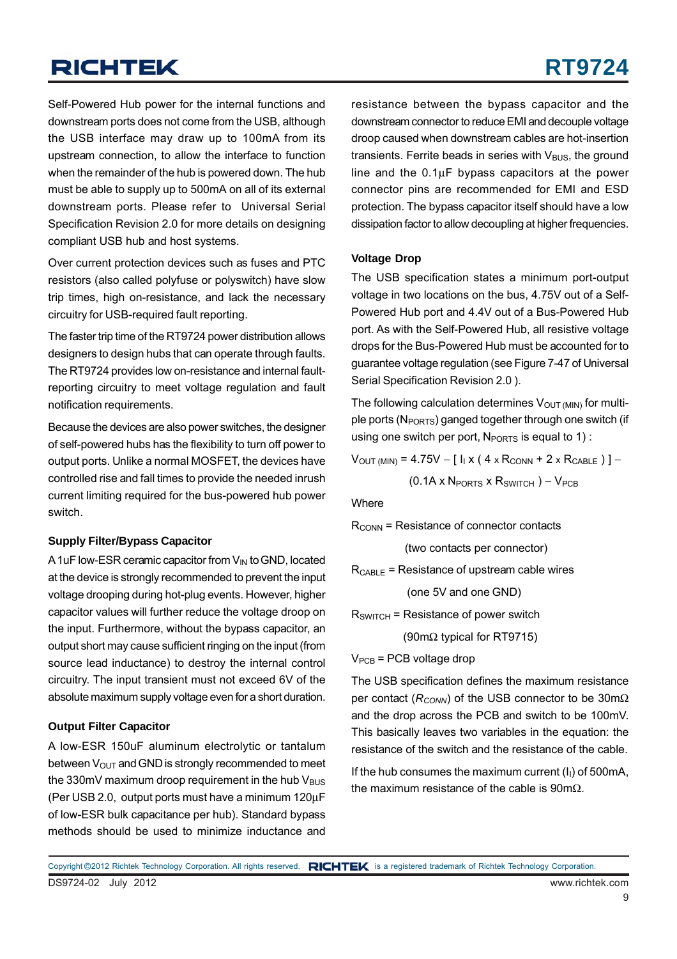Self-Powered Hub power for the internal functions and downstream ports does not come from the USB, although the USB interface may draw up to 100mA from its upstream connection, to allow the interface to function when the remainder of the hub is powered down. The hub must be able to supply up to 500mA on all of its external downstream ports. Please refer to Universal Serial Specification Revision 2.0 for more details on designing compliant USB hub and host systems.

Over current protection devices such as fuses and PTC resistors (also called polyfuse or polyswitch) have slow trip times, high on-resistance, and lack the necessary circuitry for USB-required fault reporting.

The faster trip time of the RT9724 power distribution allows designers to design hubs that can operate through faults. The RT9724 provides low on-resistance and internal faultreporting circuitry to meet voltage regulation and fault notification requirements.

Because the devices are also power switches, the designer of self-powered hubs has the flexibility to turn off power to output ports. Unlike a normal MOSFET, the devices have controlled rise and fall times to provide the needed inrush current limiting required for the bus-powered hub power switch.

#### **Supply Filter/Bypass Capacitor**

A 1uF low-ESR ceramic capacitor from  $V_{IN}$  to GND, located at the device is strongly recommended to prevent the input voltage drooping during hot-plug events. However, higher capacitor values will further reduce the voltage droop on the input. Furthermore, without the bypass capacitor, an output short may cause sufficient ringing on the input (from source lead inductance) to destroy the internal control circuitry. The input transient must not exceed 6V of the absolute maximum supply voltage even for a short duration.

#### **Output Filter Capacitor**

A low-ESR 150uF aluminum electrolytic or tantalum between  $V_{\text{OUT}}$  and GND is strongly recommended to meet the 330mV maximum droop requirement in the hub  $V_{\text{BUS}}$ (Per USB 2.0, output ports must have a minimum 120μF of low-ESR bulk capacitance per hub). Standard bypass methods should be used to minimize inductance and

resistance between the bypass capacitor and the downstream connector to reduce EMI and decouple voltage droop caused when downstream cables are hot-insertion transients. Ferrite beads in series with  $V_{\text{BUS}}$ , the ground line and the 0.1μF bypass capacitors at the power connector pins are recommended for EMI and ESD protection. The bypass capacitor itself should have a low dissipation factor to allow decoupling at higher frequencies.

#### **Voltage Drop**

The USB specification states a minimum port-output voltage in two locations on the bus, 4.75V out of a Self-Powered Hub port and 4.4V out of a Bus-Powered Hub port. As with the Self-Powered Hub, all resistive voltage drops for the Bus-Powered Hub must be accounted for to guarantee voltage regulation (see Figure 7-47 of Universal Serial Specification Revision 2.0 ).

The following calculation determines  $V_{\text{OUT (MIN)}}$  for multiple ports ( $N_{PORTS}$ ) ganged together through one switch (if using one switch per port,  $N_{PORTS}$  is equal to 1) :

 $V_{\text{OUT (MIN)}} = 4.75V - [I_{1} \times (4 \times R_{\text{CONN}} + 2 \times R_{\text{CABLE}})] -$ 

 $(0.1A \times N_{PORTS} \times R_{SWITCH}) - V_{PCR}$ 

**Where** 

 $R_{\text{CONN}}$  = Resistance of connector contacts

(two contacts per connector)

 $R_{\text{CABLE}}$  = Resistance of upstream cable wires

(one 5V and one GND)

 $R_{SWITCH}$  = Resistance of power switch

(90mΩ typical for RT9715)

 $V_{PCB}$  = PCB voltage drop

The USB specification defines the maximum resistance per contact (*R<sub>CONN</sub>*) of the USB connector to be 30mΩ and the drop across the PCB and switch to be 100mV. This basically leaves two variables in the equation: the resistance of the switch and the resistance of the cable.

If the hub consumes the maximum current  $(I<sub>1</sub>)$  of 500mA, the maximum resistance of the cable is 90mΩ.

DS9724-02 July 2012 www.richtek.com Copyright ©2012 Richtek Technology Corporation. All rights reserved. RICHTEK is a registered trademark of Richtek Technology Corporation.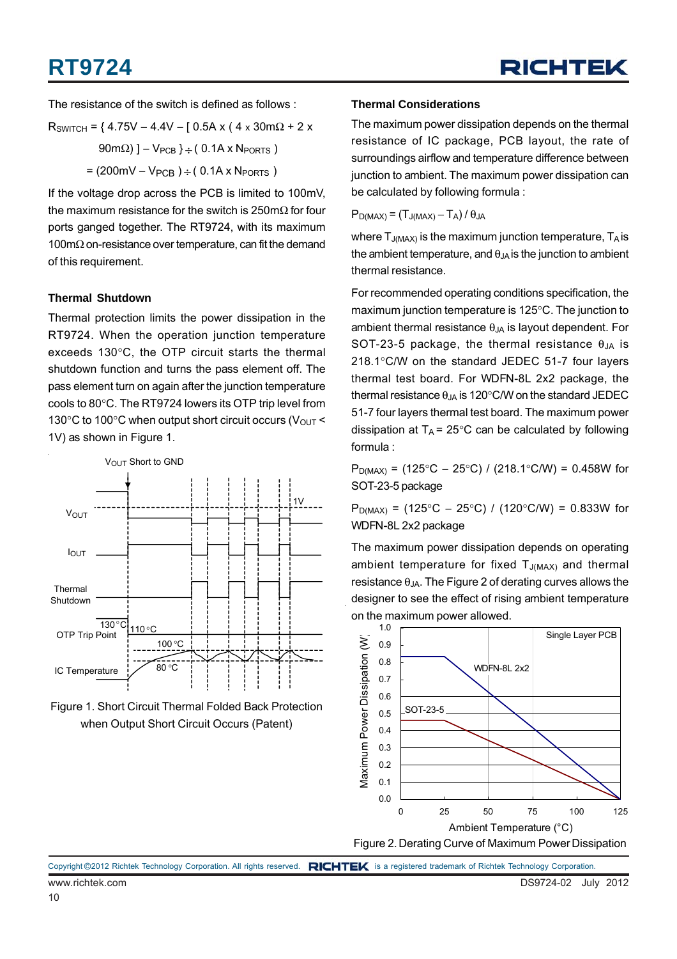## **RT9724**



The resistance of the switch is defined as follows :

$$
R_{SWITCH} = \{ 4.75V - 4.4V - [ 0.5A x ( 4 x 30mΩ + 2 x 90mΩ) ] - V_{PCB} \} \div ( 0.1A x N_{PORTS} )
$$

$$
= (200mV - V_{PCB}) \div ( 0.1A x N_{PORTS} )
$$

If the voltage drop across the PCB is limited to 100mV, the maximum resistance for the switch is 250m $\Omega$  for four ports ganged together. The RT9724, with its maximum 100mΩ on-resistance over temperature, can fit the demand of this requirement.

#### **Thermal Shutdown**

Thermal protection limits the power dissipation in the RT9724. When the operation junction temperature exceeds 130°C, the OTP circuit starts the thermal shutdown function and turns the pass element off. The pass element turn on again after the junction temperature cools to 80°C. The RT9724 lowers its OTP trip level from 130 $\degree$ C to 100 $\degree$ C when output short circuit occurs (V<sub>OUT</sub> < 1V) as shown in Figure 1.





#### **Thermal Considerations**

The maximum power dissipation depends on the thermal resistance of IC package, PCB layout, the rate of surroundings airflow and temperature difference between junction to ambient. The maximum power dissipation can be calculated by following formula :

 $P_{D(MAX)} = (T_{J(MAX)} - T_A)/\theta_{JA}$ 

where  $T_{J(MAX)}$  is the maximum junction temperature,  $T_A$  is the ambient temperature, and  $\theta_{JA}$  is the junction to ambient thermal resistance.

For recommended operating conditions specification, the maximum junction temperature is 125°C. The junction to ambient thermal resistance  $\theta_{JA}$  is layout dependent. For SOT-23-5 package, the thermal resistance  $\theta_{JA}$  is 218.1°C/W on the standard JEDEC 51-7 four layers thermal test board. For WDFN-8L 2x2 package, the thermal resistance  $\theta_{JA}$  is 120°C/W on the standard JEDEC 51-7 four layers thermal test board. The maximum power dissipation at  $T_A = 25^{\circ}$ C can be calculated by following formula :

 $P_{D(MAX)}$  = (125°C – 25°C) / (218.1°C/W) = 0.458W for SOT-23-5 package

 $P_{D(MAX)}$  = (125°C – 25°C) / (120°C/W) = 0.833W for WDFN-8L 2x2 package

The maximum power dissipation depends on operating ambient temperature for fixed  $T_{J(MAX)}$  and thermal resistance  $\theta_{JA}$ . The Figure 2 of derating curves allows the designer to see the effect of rising ambient temperature on the maximum power allowed.



Copyright ©2012 Richtek Technology Corporation. All rights reserved. RICHTEK is a registered trademark of Richtek Technology Corporation.

www.richtek.com DS9724-02 July 2012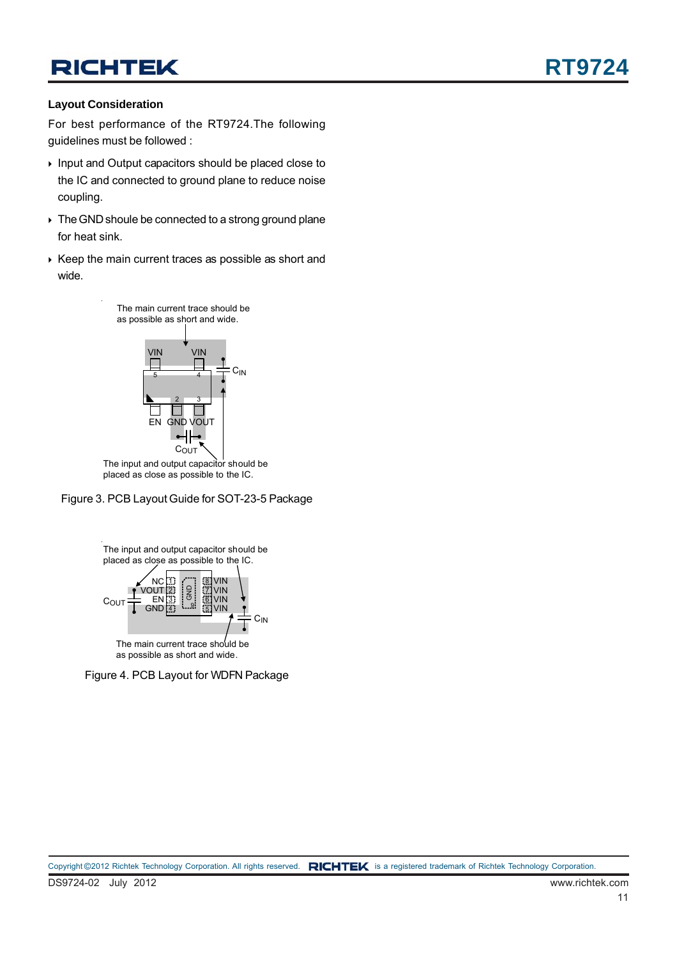#### **Layout Consideration**

For best performance of the RT9724.The following guidelines must be followed :

- ▶ Input and Output capacitors should be placed close to the IC and connected to ground plane to reduce noise coupling.
- $\triangleright$  The GND shoule be connected to a strong ground plane for heat sink.
- $\rightarrow$  Keep the main current traces as possible as short and wide.



placed as close as possible to the IC.





as possible as short and wide.

Figure 4. PCB Layout for WDFN Package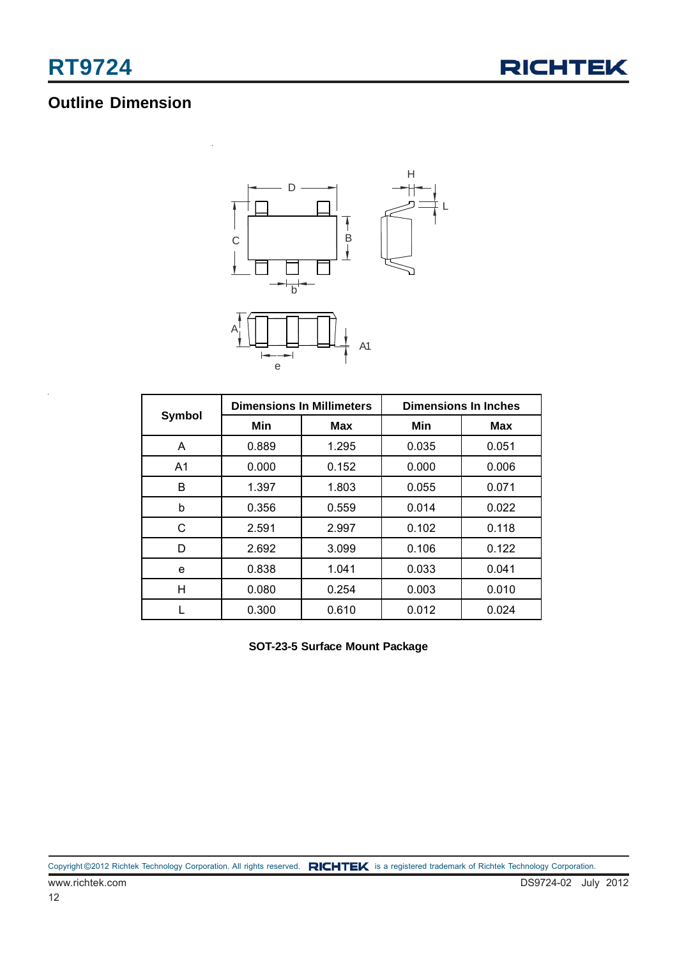

### **Outline Dimension**



|                |       | <b>Dimensions In Millimeters</b> | <b>Dimensions In Inches</b> |       |  |
|----------------|-------|----------------------------------|-----------------------------|-------|--|
| Symbol         | Min   | <b>Max</b>                       | Min                         | Max   |  |
| A              | 0.889 | 1.295                            | 0.035                       | 0.051 |  |
| A <sub>1</sub> | 0.000 | 0.152                            | 0.000                       | 0.006 |  |
| B              | 1.397 | 1.803                            | 0.055                       | 0.071 |  |
| b              | 0.356 | 0.559                            | 0.014                       | 0.022 |  |
| C              | 2.591 | 2.997                            | 0.102                       | 0.118 |  |
| D              | 2.692 | 3.099                            | 0.106                       | 0.122 |  |
| e              | 0.838 | 1.041                            | 0.033                       | 0.041 |  |
| н              | 0.080 | 0.254                            | 0.003                       | 0.010 |  |
|                | 0.300 | 0.610                            | 0.012                       | 0.024 |  |

**SOT-23-5 Surface Mount Package**